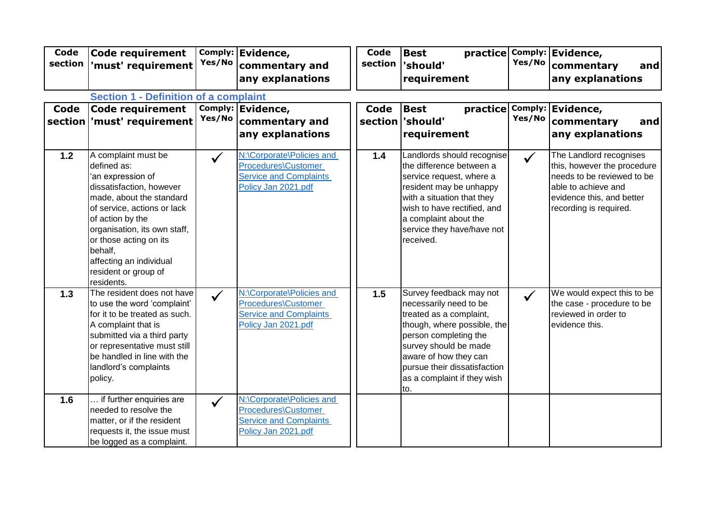| Code<br>section | <b>Code requirement</b><br>'must' requirement                                                                                                                                                                                                                                                            | Yes/No       | Comply: Evidence,<br>commentary and<br>any explanations                                                  | <b>Code</b><br>section | <b>Best</b><br>'should'<br>requirement                                                                                                                                                                                                                       | Yes/No       | practice Comply: Evidence,<br>commentary<br>and<br>any explanations                                                                                                |
|-----------------|----------------------------------------------------------------------------------------------------------------------------------------------------------------------------------------------------------------------------------------------------------------------------------------------------------|--------------|----------------------------------------------------------------------------------------------------------|------------------------|--------------------------------------------------------------------------------------------------------------------------------------------------------------------------------------------------------------------------------------------------------------|--------------|--------------------------------------------------------------------------------------------------------------------------------------------------------------------|
| <b>Code</b>     | <b>Section 1 - Definition of a complaint</b><br><b>Code requirement</b><br>section   'must' requirement                                                                                                                                                                                                  | Yes/No       | Comply: Evidence,<br>commentary and<br>any explanations                                                  | Code                   | <b>Best</b><br>practice<br>section should'<br>requirement                                                                                                                                                                                                    | Yes/No       | Comply: Evidence,<br>commentary<br>and<br>any explanations                                                                                                         |
| 1.2             | A complaint must be<br>defined as:<br>'an expression of<br>dissatisfaction, however<br>made, about the standard<br>of service, actions or lack<br>of action by the<br>organisation, its own staff,<br>or those acting on its<br>behalf,<br>affecting an individual<br>resident or group of<br>residents. | $\checkmark$ | N:\Corporate\Policies and<br>Procedures\Customer<br><b>Service and Complaints</b><br>Policy Jan 2021.pdf | 1.4                    | Landlords should recognise<br>the difference between a<br>service request, where a<br>resident may be unhappy<br>with a situation that they<br>wish to have rectified, and<br>a complaint about the<br>service they have/have not<br>received.               | $\checkmark$ | The Landlord recognises<br>this, however the procedure<br>needs to be reviewed to be<br>able to achieve and<br>evidence this, and better<br>recording is required. |
| 1.3             | The resident does not have<br>to use the word 'complaint'<br>for it to be treated as such.<br>A complaint that is<br>submitted via a third party<br>or representative must still<br>be handled in line with the<br>landlord's complaints<br>policy.                                                      | $\checkmark$ | N:\Corporate\Policies and<br>Procedures\Customer<br><b>Service and Complaints</b><br>Policy Jan 2021.pdf | 1.5                    | Survey feedback may not<br>necessarily need to be<br>treated as a complaint,<br>though, where possible, the<br>person completing the<br>survey should be made<br>aware of how they can<br>pursue their dissatisfaction<br>as a complaint if they wish<br>to. | $\checkmark$ | We would expect this to be<br>the case - procedure to be<br>reviewed in order to<br>evidence this.                                                                 |
| 1.6             | if further enquiries are<br>needed to resolve the<br>matter, or if the resident<br>requests it, the issue must<br>be logged as a complaint.                                                                                                                                                              |              | N:\Corporate\Policies and<br>Procedures\Customer<br><b>Service and Complaints</b><br>Policy Jan 2021.pdf |                        |                                                                                                                                                                                                                                                              |              |                                                                                                                                                                    |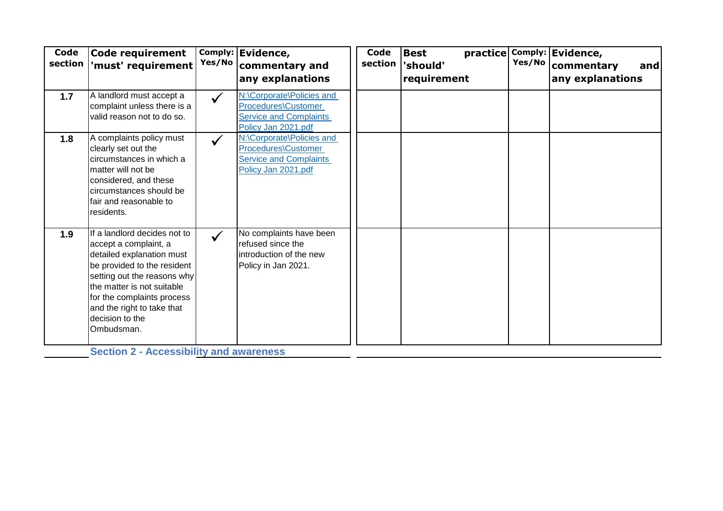| Code<br>section | Code requirement<br>'must' requirement                                                                                                                                                                                                                                                                                        | Yes/No       | Comply: Evidence,<br>commentary and<br>any explanations                                                  | Code<br>section | <b>Best</b><br>'should'<br>requirement | Yes/No | practice Comply: Evidence,<br>commentary<br>and<br>any explanations |
|-----------------|-------------------------------------------------------------------------------------------------------------------------------------------------------------------------------------------------------------------------------------------------------------------------------------------------------------------------------|--------------|----------------------------------------------------------------------------------------------------------|-----------------|----------------------------------------|--------|---------------------------------------------------------------------|
| 1.7             | A landlord must accept a<br>complaint unless there is a<br>valid reason not to do so.                                                                                                                                                                                                                                         | $\checkmark$ | N:\Corporate\Policies and<br>Procedures\Customer<br><b>Service and Complaints</b><br>Policy Jan 2021.pdf |                 |                                        |        |                                                                     |
| 1.8             | A complaints policy must<br>clearly set out the<br>circumstances in which a<br>matter will not be<br>considered, and these<br>circumstances should be<br>Ifair and reasonable to<br>residents.                                                                                                                                | $\checkmark$ | N:\Corporate\Policies and<br>Procedures\Customer<br><b>Service and Complaints</b><br>Policy Jan 2021.pdf |                 |                                        |        |                                                                     |
| 1.9             | If a landlord decides not to<br>accept a complaint, a<br>detailed explanation must<br>be provided to the resident<br>setting out the reasons why<br>the matter is not suitable<br>for the complaints process<br>and the right to take that<br>decision to the<br>Ombudsman.<br><b>Section 2 - Accessibility and awareness</b> | $\checkmark$ | No complaints have been<br>refused since the<br>introduction of the new<br>Policy in Jan 2021.           |                 |                                        |        |                                                                     |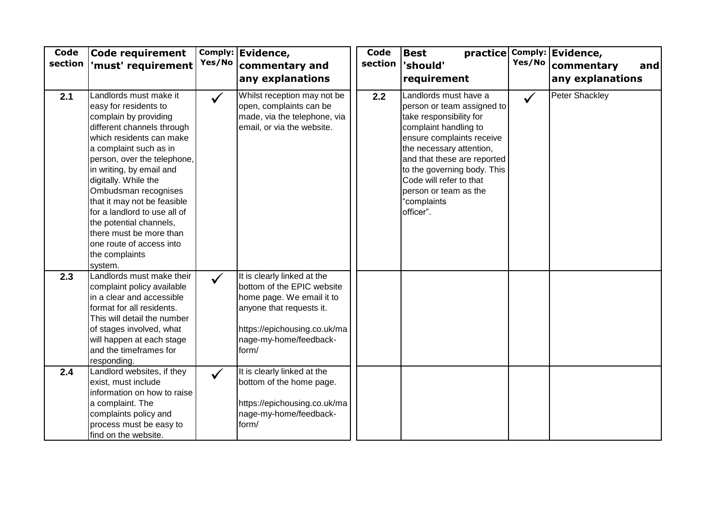| Code<br>section | Code requirement<br>'must' requirement                                                                                                                                                                                                                                                                                                                                                                                                                | Yes/No       | Comply: Evidence,<br>commentary and<br>any explanations                                                                                                                               | Code<br>section | <b>Best</b><br>'should'<br>requirement                                                                                                                                                                                                                                                                         | Yes/No       | practice Comply: Evidence,<br>commentary<br>and<br>any explanations |
|-----------------|-------------------------------------------------------------------------------------------------------------------------------------------------------------------------------------------------------------------------------------------------------------------------------------------------------------------------------------------------------------------------------------------------------------------------------------------------------|--------------|---------------------------------------------------------------------------------------------------------------------------------------------------------------------------------------|-----------------|----------------------------------------------------------------------------------------------------------------------------------------------------------------------------------------------------------------------------------------------------------------------------------------------------------------|--------------|---------------------------------------------------------------------|
| 2.1             | Landlords must make it<br>easy for residents to<br>complain by providing<br>different channels through<br>which residents can make<br>a complaint such as in<br>person, over the telephone,<br>in writing, by email and<br>digitally. While the<br>Ombudsman recognises<br>that it may not be feasible<br>for a landlord to use all of<br>the potential channels,<br>there must be more than<br>one route of access into<br>the complaints<br>system. | $\checkmark$ | Whilst reception may not be<br>open, complaints can be<br>made, via the telephone, via<br>email, or via the website.                                                                  | 2.2             | Landlords must have a<br>person or team assigned to<br>take responsibility for<br>complaint handling to<br>ensure complaints receive<br>the necessary attention,<br>and that these are reported<br>to the governing body. This<br>Code will refer to that<br>person or team as the<br>"complaints<br>officer". | $\checkmark$ | <b>Peter Shackley</b>                                               |
| 2.3             | Landlords must make their<br>complaint policy available<br>in a clear and accessible<br>format for all residents.<br>This will detail the number<br>of stages involved, what<br>will happen at each stage<br>and the timeframes for<br>responding.                                                                                                                                                                                                    | $\checkmark$ | It is clearly linked at the<br>bottom of the EPIC website<br>home page. We email it to<br>anyone that requests it.<br>https://epichousing.co.uk/ma<br>nage-my-home/feedback-<br>form/ |                 |                                                                                                                                                                                                                                                                                                                |              |                                                                     |
| 2.4             | Landlord websites, if they<br>exist, must include<br>information on how to raise<br>a complaint. The<br>complaints policy and<br>process must be easy to<br>find on the website.                                                                                                                                                                                                                                                                      | $\checkmark$ | It is clearly linked at the<br>bottom of the home page.<br>https://epichousing.co.uk/ma<br>nage-my-home/feedback-<br>form/                                                            |                 |                                                                                                                                                                                                                                                                                                                |              |                                                                     |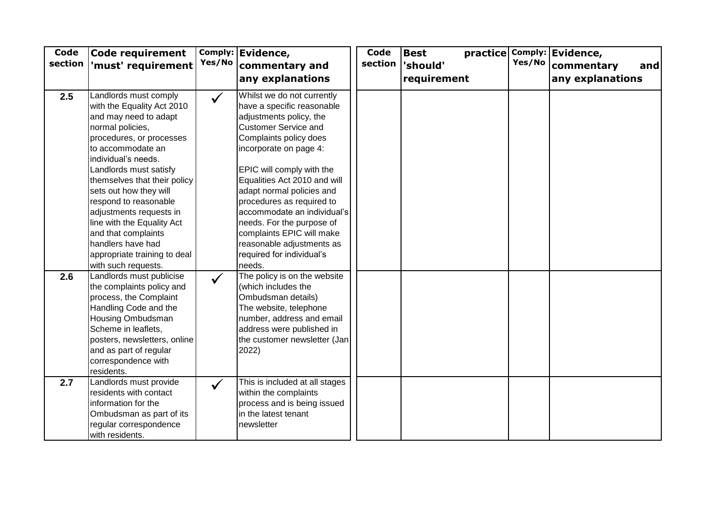| Code<br>section | <b>Code requirement</b><br>'must' requirement                                                                                                                                                                                                                                                                                                                                                                              | Yes/No       | Comply: Evidence,<br>commentary and<br>any explanations                                                                                                                                                                                                                                                                                                                                                                                          | Code<br>section | practice Comply:<br><b>Best</b><br>'should'<br>requirement | Yes/No | Evidence,<br>commentary<br>and<br>any explanations |
|-----------------|----------------------------------------------------------------------------------------------------------------------------------------------------------------------------------------------------------------------------------------------------------------------------------------------------------------------------------------------------------------------------------------------------------------------------|--------------|--------------------------------------------------------------------------------------------------------------------------------------------------------------------------------------------------------------------------------------------------------------------------------------------------------------------------------------------------------------------------------------------------------------------------------------------------|-----------------|------------------------------------------------------------|--------|----------------------------------------------------|
| 2.5             | Landlords must comply<br>with the Equality Act 2010<br>and may need to adapt<br>normal policies,<br>procedures, or processes<br>to accommodate an<br>individual's needs.<br>Landlords must satisfy<br>themselves that their policy<br>sets out how they will<br>respond to reasonable<br>adjustments requests in<br>line with the Equality Act<br>and that complaints<br>handlers have had<br>appropriate training to deal | $\checkmark$ | Whilst we do not currently<br>have a specific reasonable<br>adjustments policy, the<br><b>Customer Service and</b><br>Complaints policy does<br>incorporate on page 4:<br>EPIC will comply with the<br>Equalities Act 2010 and will<br>adapt normal policies and<br>procedures as required to<br>accommodate an individual's<br>needs. For the purpose of<br>complaints EPIC will make<br>reasonable adjustments as<br>required for individual's |                 |                                                            |        |                                                    |
| 2.6             | with such requests.<br>Landlords must publicise<br>the complaints policy and<br>process, the Complaint<br>Handling Code and the<br><b>Housing Ombudsman</b><br>Scheme in leaflets,<br>posters, newsletters, online<br>and as part of regular<br>correspondence with<br>residents.                                                                                                                                          | $\checkmark$ | needs.<br>The policy is on the website<br>(which includes the<br>Ombudsman details)<br>The website, telephone<br>number, address and email<br>address were published in<br>the customer newsletter (Jan<br>2022)                                                                                                                                                                                                                                 |                 |                                                            |        |                                                    |
| 2.7             | Landlords must provide<br>residents with contact<br>information for the<br>Ombudsman as part of its<br>regular correspondence<br>with residents.                                                                                                                                                                                                                                                                           | $\checkmark$ | This is included at all stages<br>within the complaints<br>process and is being issued<br>in the latest tenant<br>newsletter                                                                                                                                                                                                                                                                                                                     |                 |                                                            |        |                                                    |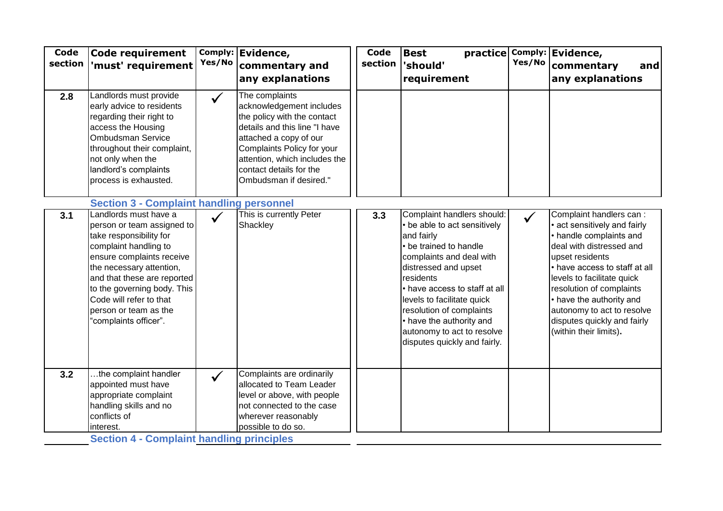| Landlords must provide<br>The complaints<br>2.8<br>$\checkmark$<br>early advice to residents<br>acknowledgement includes<br>the policy with the contact<br>regarding their right to<br>details and this line "I have<br>access the Housing<br>Ombudsman Service<br>attached a copy of our<br>throughout their complaint,<br>Complaints Policy for your<br>attention, which includes the<br>not only when the<br>landlord's complaints<br>contact details for the<br>process is exhausted.<br>Ombudsman if desired."<br><b>Section 3 - Complaint handling personnel</b><br>Landlords must have a<br>This is currently Peter<br>Complaint handlers should:<br>3.1<br>3.3<br>$\checkmark$<br>Shackley<br>• be able to act sensitively<br>person or team assigned to<br>take responsibility for<br>and fairly<br>complaint handling to<br>• be trained to handle<br>ensure complaints receive<br>complaints and deal with<br>upset residents<br>the necessary attention,<br>distressed and upset<br>and that these are reported<br>residents<br>to the governing body. This<br>• have access to staff at all<br>Code will refer to that<br>levels to facilitate quick<br>resolution of complaints<br>person or team as the<br>• have the authority and<br>'complaints officer".<br>autonomy to act to resolve<br>(within their limits).<br>disputes quickly and fairly.<br>.the complaint handler<br>Complaints are ordinarily<br>3.2<br>$\checkmark$<br>appointed must have<br>allocated to Team Leader | Code<br>section | <b>Code requirement</b><br>'must' requirement | Yes/No | Comply: Evidence,<br>commentary and<br>any explanations | Code<br>section | <b>Best</b><br>practice<br>'should'<br>requirement | Yes/No | Comply: Evidence,<br>commentary<br>and<br>any explanations                                                                                                                                                                                                                                          |
|------------------------------------------------------------------------------------------------------------------------------------------------------------------------------------------------------------------------------------------------------------------------------------------------------------------------------------------------------------------------------------------------------------------------------------------------------------------------------------------------------------------------------------------------------------------------------------------------------------------------------------------------------------------------------------------------------------------------------------------------------------------------------------------------------------------------------------------------------------------------------------------------------------------------------------------------------------------------------------------------------------------------------------------------------------------------------------------------------------------------------------------------------------------------------------------------------------------------------------------------------------------------------------------------------------------------------------------------------------------------------------------------------------------------------------------------------------------------------------------------------|-----------------|-----------------------------------------------|--------|---------------------------------------------------------|-----------------|----------------------------------------------------|--------|-----------------------------------------------------------------------------------------------------------------------------------------------------------------------------------------------------------------------------------------------------------------------------------------------------|
|                                                                                                                                                                                                                                                                                                                                                                                                                                                                                                                                                                                                                                                                                                                                                                                                                                                                                                                                                                                                                                                                                                                                                                                                                                                                                                                                                                                                                                                                                                      |                 |                                               |        |                                                         |                 |                                                    |        |                                                                                                                                                                                                                                                                                                     |
|                                                                                                                                                                                                                                                                                                                                                                                                                                                                                                                                                                                                                                                                                                                                                                                                                                                                                                                                                                                                                                                                                                                                                                                                                                                                                                                                                                                                                                                                                                      |                 |                                               |        |                                                         |                 |                                                    |        |                                                                                                                                                                                                                                                                                                     |
|                                                                                                                                                                                                                                                                                                                                                                                                                                                                                                                                                                                                                                                                                                                                                                                                                                                                                                                                                                                                                                                                                                                                                                                                                                                                                                                                                                                                                                                                                                      |                 |                                               |        |                                                         |                 |                                                    |        | Complaint handlers can :<br>· act sensitively and fairly<br>• handle complaints and<br>deal with distressed and<br>• have access to staff at all<br>levels to facilitate quick<br>resolution of complaints<br>• have the authority and<br>autonomy to act to resolve<br>disputes quickly and fairly |
| handling skills and no<br>not connected to the case<br>conflicts of<br>wherever reasonably<br>possible to do so.<br>interest.                                                                                                                                                                                                                                                                                                                                                                                                                                                                                                                                                                                                                                                                                                                                                                                                                                                                                                                                                                                                                                                                                                                                                                                                                                                                                                                                                                        |                 | appropriate complaint                         |        | level or above, with people                             |                 |                                                    |        |                                                                                                                                                                                                                                                                                                     |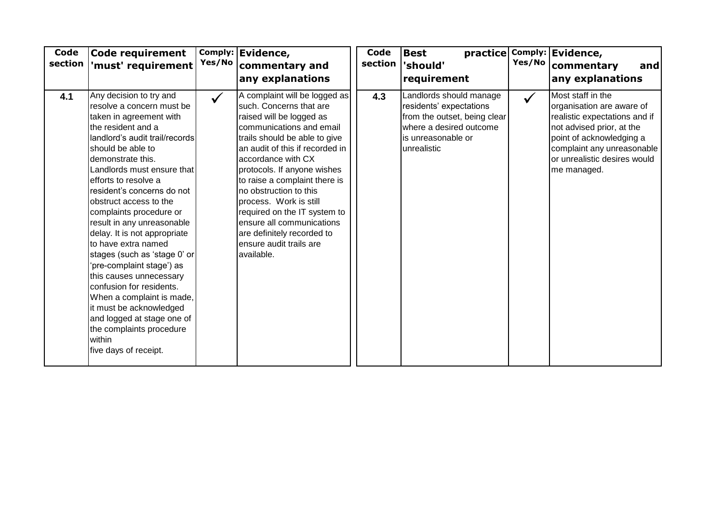| Code<br>section | <b>Code requirement</b><br>'must' requirement                                                                                                                                                                                                                                                                                                                                                                                                                                                                                                                                                                                                                                            | Yes/No       | Comply: Evidence,<br>commentary and<br>any explanations                                                                                                                                                                                                                                                                                                                                                                                                            | Code<br>section | <b>Best</b><br>'should'<br>requirement                                                                                                             | Yes/No       | practice Comply: Evidence,<br>commentary<br>and<br>any explanations                                                                                                                                                   |
|-----------------|------------------------------------------------------------------------------------------------------------------------------------------------------------------------------------------------------------------------------------------------------------------------------------------------------------------------------------------------------------------------------------------------------------------------------------------------------------------------------------------------------------------------------------------------------------------------------------------------------------------------------------------------------------------------------------------|--------------|--------------------------------------------------------------------------------------------------------------------------------------------------------------------------------------------------------------------------------------------------------------------------------------------------------------------------------------------------------------------------------------------------------------------------------------------------------------------|-----------------|----------------------------------------------------------------------------------------------------------------------------------------------------|--------------|-----------------------------------------------------------------------------------------------------------------------------------------------------------------------------------------------------------------------|
| 4.1             | Any decision to try and<br>resolve a concern must be<br>taken in agreement with<br>the resident and a<br>landlord's audit trail/records<br>should be able to<br>demonstrate this.<br>Landlords must ensure that<br>efforts to resolve a<br>resident's concerns do not<br>obstruct access to the<br>complaints procedure or<br>result in any unreasonable<br>delay. It is not appropriate<br>to have extra named<br>stages (such as 'stage 0' or<br>'pre-complaint stage') as<br>this causes unnecessary<br>confusion for residents.<br>When a complaint is made,<br>it must be acknowledged<br>and logged at stage one of<br>the complaints procedure<br>within<br>five days of receipt. | $\checkmark$ | A complaint will be logged as<br>such. Concerns that are<br>raised will be logged as<br>communications and email<br>trails should be able to give<br>an audit of this if recorded in<br>accordance with CX<br>protocols. If anyone wishes<br>to raise a complaint there is<br>no obstruction to this<br>process. Work is still<br>required on the IT system to<br>ensure all communications<br>are definitely recorded to<br>ensure audit trails are<br>available. | 4.3             | Landlords should manage<br>residents' expectations<br>from the outset, being clear<br>where a desired outcome<br>is unreasonable or<br>unrealistic | $\checkmark$ | Most staff in the<br>organisation are aware of<br>realistic expectations and if<br>not advised prior, at the<br>point of acknowledging a<br>complaint any unreasonable<br>or unrealistic desires would<br>me managed. |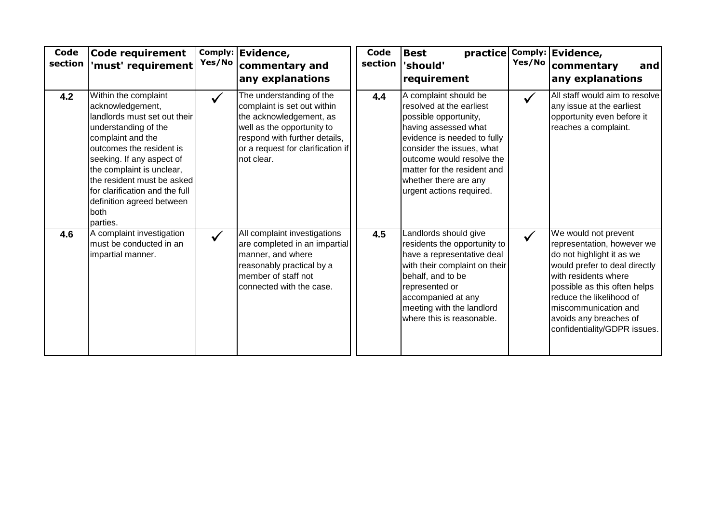| Code<br>section | <b>Code requirement</b><br>'must' requirement                                                                                                                                                                                                                                                                                | Yes/No       | Comply: Evidence,<br>commentary and<br>any explanations                                                                                                                                              | Code<br>section | <b>Best</b><br>practice<br>'should'<br>requirement                                                                                                                                                                                                                              |              | Comply: Evidence,<br>Yes/No   commentary<br>and<br>any explanations                                                                                                                                                                                                                    |
|-----------------|------------------------------------------------------------------------------------------------------------------------------------------------------------------------------------------------------------------------------------------------------------------------------------------------------------------------------|--------------|------------------------------------------------------------------------------------------------------------------------------------------------------------------------------------------------------|-----------------|---------------------------------------------------------------------------------------------------------------------------------------------------------------------------------------------------------------------------------------------------------------------------------|--------------|----------------------------------------------------------------------------------------------------------------------------------------------------------------------------------------------------------------------------------------------------------------------------------------|
| 4.2             | Within the complaint<br>acknowledgement,<br>landlords must set out their<br>understanding of the<br>complaint and the<br>outcomes the resident is<br>seeking. If any aspect of<br>the complaint is unclear,<br>the resident must be asked<br>for clarification and the full<br>definition agreed between<br>both<br>parties. |              | The understanding of the<br>complaint is set out within<br>the acknowledgement, as<br>well as the opportunity to<br>respond with further details,<br>or a request for clarification if<br>not clear. | 4.4             | A complaint should be<br>resolved at the earliest<br>possible opportunity,<br>having assessed what<br>evidence is needed to fully<br>consider the issues, what<br>outcome would resolve the<br>matter for the resident and<br>whether there are any<br>urgent actions required. |              | All staff would aim to resolve<br>any issue at the earliest<br>opportunity even before it<br>reaches a complaint.                                                                                                                                                                      |
| 4.6             | A complaint investigation<br>must be conducted in an<br>impartial manner.                                                                                                                                                                                                                                                    | $\checkmark$ | All complaint investigations<br>are completed in an impartial<br>manner, and where<br>reasonably practical by a<br>member of staff not<br>connected with the case.                                   | 4.5             | Landlords should give<br>residents the opportunity to<br>have a representative deal<br>with their complaint on their<br>behalf, and to be<br>represented or<br>accompanied at any<br>meeting with the landlord<br>where this is reasonable.                                     | $\checkmark$ | We would not prevent<br>representation, however we<br>do not highlight it as we<br>would prefer to deal directly<br>with residents where<br>possible as this often helps<br>reduce the likelihood of<br>miscommunication and<br>avoids any breaches of<br>confidentiality/GDPR issues. |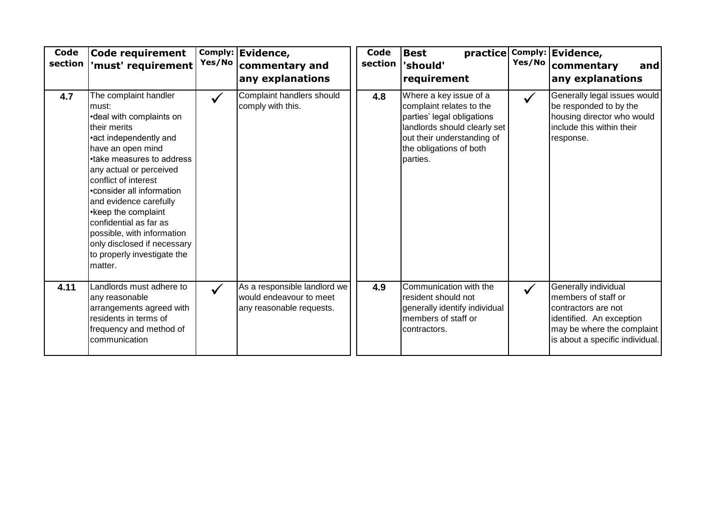| Code<br>section | Code requirement<br>'must' requirement                                                                                                                                                                                                                                                                                                                                                                                    | Yes/No       | Comply: Evidence,<br>commentary and<br>any explanations                             | Code<br>section | <b>Best</b><br>'should'<br>requirement                                                                                                                                                | Yes/No       | practice Comply: Evidence,<br>commentary<br>and<br>any explanations                                                                                             |
|-----------------|---------------------------------------------------------------------------------------------------------------------------------------------------------------------------------------------------------------------------------------------------------------------------------------------------------------------------------------------------------------------------------------------------------------------------|--------------|-------------------------------------------------------------------------------------|-----------------|---------------------------------------------------------------------------------------------------------------------------------------------------------------------------------------|--------------|-----------------------------------------------------------------------------------------------------------------------------------------------------------------|
| 4.7             | The complaint handler<br>must:<br>•deal with complaints on<br>their merits<br>•act independently and<br>have an open mind<br>•take measures to address<br>any actual or perceived<br>conflict of interest<br>•consider all information<br>and evidence carefully<br>• Keep the complaint<br>confidential as far as<br>possible, with information<br>only disclosed if necessary<br>to properly investigate the<br>matter. | $\checkmark$ | Complaint handlers should<br>comply with this.                                      | 4.8             | Where a key issue of a<br>complaint relates to the<br>parties' legal obligations<br>landlords should clearly set<br>out their understanding of<br>the obligations of both<br>parties. | $\checkmark$ | Generally legal issues would<br>be responded to by the<br>housing director who would<br>include this within their<br>response.                                  |
| 4.11            | Landlords must adhere to<br>any reasonable<br>arrangements agreed with<br>residents in terms of<br>frequency and method of<br>communication                                                                                                                                                                                                                                                                               | $\checkmark$ | As a responsible landlord we<br>would endeavour to meet<br>any reasonable requests. | 4.9             | Communication with the<br>resident should not<br>generally identify individual<br>members of staff or<br>contractors.                                                                 | $\checkmark$ | Generally individual<br>members of staff or<br>contractors are not<br>identified. An exception<br>may be where the complaint<br>is about a specific individual. |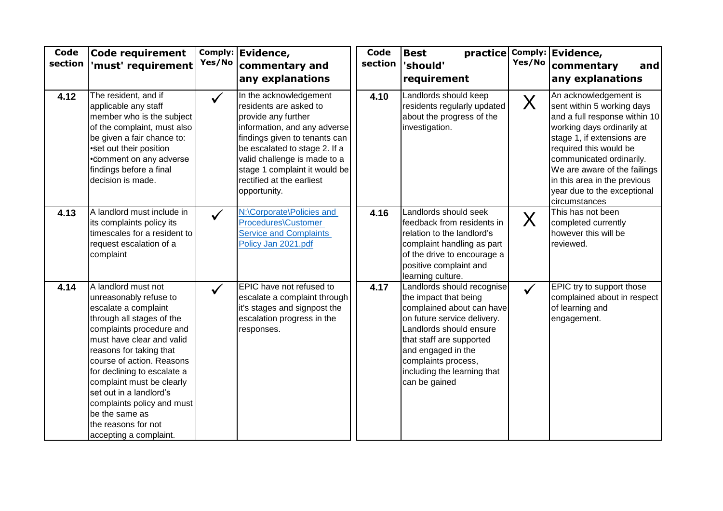| Code<br>section | <b>Code requirement</b><br>'must' requirement                                                                                                                                                                                                                                                                                                                                                               | Yes/No       | Comply: Evidence,<br>commentary and<br>any explanations                                                                                                                                                                                                                                 | Code<br>section | <b>Best</b><br>practice<br>'should'<br>requirement                                                                                                                                                                                                                  | Yes/No       | Comply: Evidence,<br>commentary<br>and<br>any explanations                                                                                                                                                                                                                                                             |
|-----------------|-------------------------------------------------------------------------------------------------------------------------------------------------------------------------------------------------------------------------------------------------------------------------------------------------------------------------------------------------------------------------------------------------------------|--------------|-----------------------------------------------------------------------------------------------------------------------------------------------------------------------------------------------------------------------------------------------------------------------------------------|-----------------|---------------------------------------------------------------------------------------------------------------------------------------------------------------------------------------------------------------------------------------------------------------------|--------------|------------------------------------------------------------------------------------------------------------------------------------------------------------------------------------------------------------------------------------------------------------------------------------------------------------------------|
| 4.12            | The resident, and if<br>applicable any staff<br>member who is the subject<br>of the complaint, must also<br>be given a fair chance to:<br>•Set out their position<br>.Comment on any adverse<br>findings before a final<br>decision is made.                                                                                                                                                                | $\checkmark$ | In the acknowledgement<br>residents are asked to<br>provide any further<br>information, and any adverse<br>findings given to tenants can<br>be escalated to stage 2. If a<br>valid challenge is made to a<br>stage 1 complaint it would be<br>rectified at the earliest<br>opportunity. | 4.10            | Landlords should keep<br>residents regularly updated<br>about the progress of the<br>investigation.                                                                                                                                                                 | $\sf X$      | An acknowledgement is<br>sent within 5 working days<br>and a full response within 10<br>working days ordinarily at<br>stage 1, if extensions are<br>required this would be<br>communicated ordinarily.<br>We are aware of the failings<br>in this area in the previous<br>year due to the exceptional<br>circumstances |
| 4.13            | A landlord must include in<br>its complaints policy its<br>timescales for a resident to<br>request escalation of a<br>complaint                                                                                                                                                                                                                                                                             | $\checkmark$ | N:\Corporate\Policies and<br>Procedures\Customer<br><b>Service and Complaints</b><br>Policy Jan 2021.pdf                                                                                                                                                                                | 4.16            | Landlords should seek<br>feedback from residents in<br>relation to the landlord's<br>complaint handling as part<br>of the drive to encourage a<br>positive complaint and<br>learning culture.                                                                       | $\sf X$      | This has not been<br>completed currently<br>however this will be<br>reviewed.                                                                                                                                                                                                                                          |
| 4.14            | A landlord must not<br>unreasonably refuse to<br>escalate a complaint<br>through all stages of the<br>complaints procedure and<br>must have clear and valid<br>reasons for taking that<br>course of action. Reasons<br>for declining to escalate a<br>complaint must be clearly<br>set out in a landlord's<br>complaints policy and must<br>be the same as<br>the reasons for not<br>accepting a complaint. | $\checkmark$ | EPIC have not refused to<br>escalate a complaint through<br>it's stages and signpost the<br>escalation progress in the<br>responses.                                                                                                                                                    | 4.17            | Landlords should recognise<br>the impact that being<br>complained about can have<br>on future service delivery.<br>Landlords should ensure<br>that staff are supported<br>and engaged in the<br>complaints process,<br>including the learning that<br>can be gained | $\checkmark$ | EPIC try to support those<br>complained about in respect<br>of learning and<br>engagement.                                                                                                                                                                                                                             |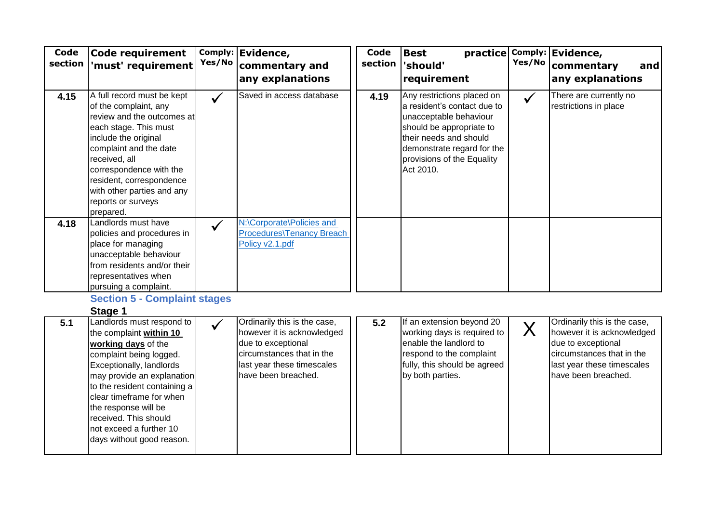| <b>Code</b><br>section | Code requirement<br>'must' requirement                                                                                                                                                                                                                                                                                                | Yes/No       | Comply: Evidence,<br>commentary and<br>any explanations                                                                                                            | Code<br>section | <b>Best</b><br>practice<br>'should'<br>requirement                                                                                                                                                                 | Yes/No       | Comply: Evidence,<br>commentary<br>and<br>any explanations                                                                                                         |
|------------------------|---------------------------------------------------------------------------------------------------------------------------------------------------------------------------------------------------------------------------------------------------------------------------------------------------------------------------------------|--------------|--------------------------------------------------------------------------------------------------------------------------------------------------------------------|-----------------|--------------------------------------------------------------------------------------------------------------------------------------------------------------------------------------------------------------------|--------------|--------------------------------------------------------------------------------------------------------------------------------------------------------------------|
| 4.15                   | A full record must be kept<br>of the complaint, any<br>review and the outcomes at<br>each stage. This must<br>include the original<br>complaint and the date<br>received, all<br>correspondence with the<br>resident, correspondence<br>with other parties and any<br>reports or surveys<br>prepared.                                 |              | Saved in access database                                                                                                                                           | 4.19            | Any restrictions placed on<br>a resident's contact due to<br>unacceptable behaviour<br>should be appropriate to<br>their needs and should<br>demonstrate regard for the<br>provisions of the Equality<br>Act 2010. | $\checkmark$ | There are currently no<br>restrictions in place                                                                                                                    |
| 4.18                   | Landlords must have<br>policies and procedures in<br>place for managing<br>unacceptable behaviour<br>from residents and/or their<br>representatives when<br>pursuing a complaint.                                                                                                                                                     | $\checkmark$ | N:\Corporate\Policies and<br>Procedures\Tenancy Breach<br>Policy v2.1.pdf                                                                                          |                 |                                                                                                                                                                                                                    |              |                                                                                                                                                                    |
|                        | <b>Section 5 - Complaint stages</b><br>Stage 1                                                                                                                                                                                                                                                                                        |              |                                                                                                                                                                    |                 |                                                                                                                                                                                                                    |              |                                                                                                                                                                    |
| 5.1                    | Landlords must respond to<br>the complaint within 10<br>working days of the<br>complaint being logged.<br>Exceptionally, landlords<br>may provide an explanation<br>to the resident containing a<br>clear timeframe for when<br>the response will be<br>received. This should<br>not exceed a further 10<br>days without good reason. |              | Ordinarily this is the case,<br>however it is acknowledged<br>due to exceptional<br>circumstances that in the<br>last year these timescales<br>have been breached. | $5.2$           | If an extension beyond 20<br>working days is required to<br>enable the landlord to<br>respond to the complaint<br>fully, this should be agreed<br>by both parties.                                                 | $\sf X$      | Ordinarily this is the case,<br>however it is acknowledged<br>due to exceptional<br>circumstances that in the<br>last year these timescales<br>have been breached. |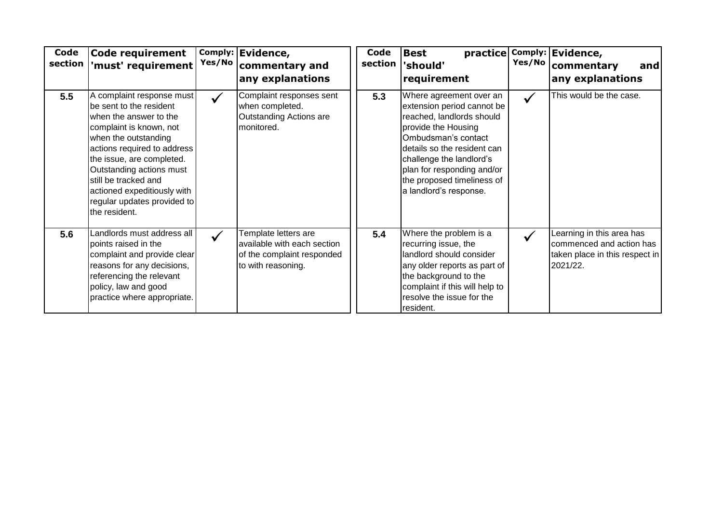| Code<br>section | Code requirement<br>'must' requirement $\mid$                                                                                                                                                                                                                                                                                    | Comply:<br>Yes/No | Evidence,<br>commentary and<br>any explanations                                                         | Code<br>section | <b>Best</b><br>practice<br>'should'<br>requirement                                                                                                                                                                                                                                | Yes/No       | Comply: Evidence,<br>commentary<br>and<br>any explanations                                          |
|-----------------|----------------------------------------------------------------------------------------------------------------------------------------------------------------------------------------------------------------------------------------------------------------------------------------------------------------------------------|-------------------|---------------------------------------------------------------------------------------------------------|-----------------|-----------------------------------------------------------------------------------------------------------------------------------------------------------------------------------------------------------------------------------------------------------------------------------|--------------|-----------------------------------------------------------------------------------------------------|
| 5.5             | A complaint response must<br>be sent to the resident<br>when the answer to the<br>complaint is known, not<br>when the outstanding<br>actions required to address<br>the issue, are completed.<br>Outstanding actions must<br>still be tracked and<br>actioned expeditiously with<br>regular updates provided to<br>the resident. | $\checkmark$      | Complaint responses sent<br>when completed.<br>Outstanding Actions are<br>monitored.                    | 5.3             | Where agreement over an<br>extension period cannot be<br>reached, landlords should<br>provide the Housing<br>Ombudsman's contact<br>details so the resident can<br>challenge the landlord's<br>plan for responding and/or<br>the proposed timeliness of<br>a landlord's response. | $\checkmark$ | This would be the case.                                                                             |
| 5.6             | Landlords must address all<br>points raised in the<br>complaint and provide clear<br>reasons for any decisions,<br>referencing the relevant<br>policy, law and good<br>practice where appropriate.                                                                                                                               |                   | Template letters are<br>available with each section<br>of the complaint responded<br>to with reasoning. | 5.4             | Where the problem is a<br>recurring issue, the<br>landlord should consider<br>any older reports as part of<br>the background to the<br>complaint if this will help to<br>resolve the issue for the<br>resident.                                                                   |              | Learning in this area has<br>commenced and action has<br>taken place in this respect in<br>2021/22. |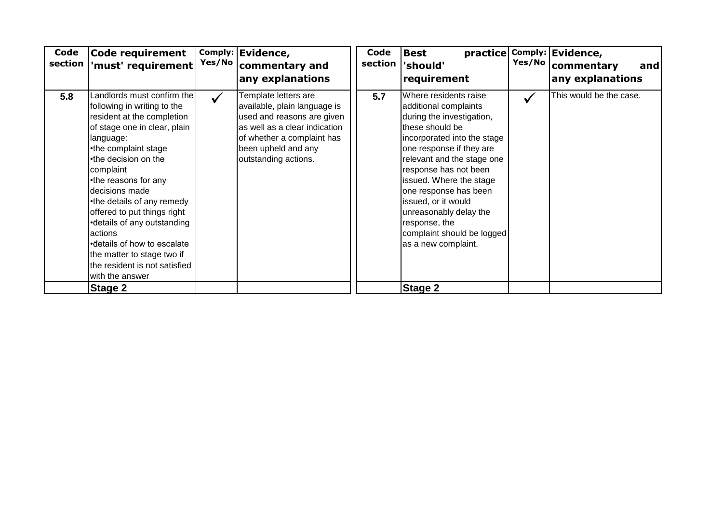| Code<br>section | <b>Code requirement</b><br>'must' requirement                                                                                                                                                                                                                                                                                                                                                                                                                       | Yes/No       | Comply: Evidence,<br>commentary and<br>any explanations                                                                                                                                          | Code<br>section | practice<br><b>Best</b><br>'should'<br>requirement                                                                                                                                                                                                                                                                                                                                          | Yes/No | Comply: Evidence,<br>commentary<br>and<br>any explanations |
|-----------------|---------------------------------------------------------------------------------------------------------------------------------------------------------------------------------------------------------------------------------------------------------------------------------------------------------------------------------------------------------------------------------------------------------------------------------------------------------------------|--------------|--------------------------------------------------------------------------------------------------------------------------------------------------------------------------------------------------|-----------------|---------------------------------------------------------------------------------------------------------------------------------------------------------------------------------------------------------------------------------------------------------------------------------------------------------------------------------------------------------------------------------------------|--------|------------------------------------------------------------|
| 5.8             | Landlords must confirm the<br>following in writing to the<br>resident at the completion<br>of stage one in clear, plain<br>language:<br>•the complaint stage<br>•the decision on the<br>complaint<br>•the reasons for any<br>decisions made<br>•the details of any remedy<br>offered to put things right<br>•details of any outstanding<br>actions<br>•details of how to escalate<br>the matter to stage two if<br>the resident is not satisfied<br>with the answer | $\checkmark$ | Template letters are<br>available, plain language is<br>used and reasons are given<br>as well as a clear indication<br>of whether a complaint has<br>been upheld and any<br>outstanding actions. | 5.7             | Where residents raise<br>additional complaints<br>during the investigation,<br>these should be<br>incorporated into the stage<br>one response if they are<br>relevant and the stage one<br>response has not been<br>issued. Where the stage<br>one response has been<br>issued, or it would<br>unreasonably delay the<br>response, the<br>complaint should be logged<br>as a new complaint. |        | This would be the case.                                    |
|                 | Stage 2                                                                                                                                                                                                                                                                                                                                                                                                                                                             |              |                                                                                                                                                                                                  |                 | <b>Stage 2</b>                                                                                                                                                                                                                                                                                                                                                                              |        |                                                            |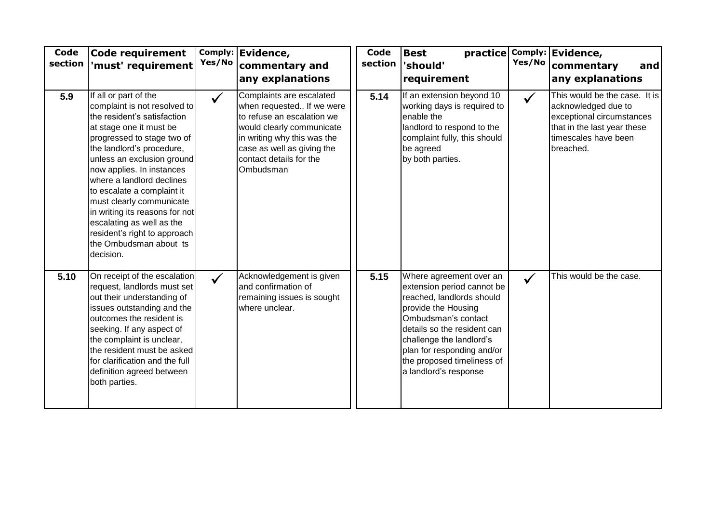| Code<br>section | <b>Code requirement</b><br>'must' requirement                                                                                                                                                                                                                                                                                                                                                                                                                      | Yes/No       | Comply: Evidence,<br>commentary and<br>any explanations                                                                                                                                                               | <b>Code</b><br>section | <b>Best</b><br>practice<br>'should'<br>requirement                                                                                                                                                                                                                               | Yes/No       | Comply: Evidence,<br>commentary<br>and<br>any explanations                                                                                            |
|-----------------|--------------------------------------------------------------------------------------------------------------------------------------------------------------------------------------------------------------------------------------------------------------------------------------------------------------------------------------------------------------------------------------------------------------------------------------------------------------------|--------------|-----------------------------------------------------------------------------------------------------------------------------------------------------------------------------------------------------------------------|------------------------|----------------------------------------------------------------------------------------------------------------------------------------------------------------------------------------------------------------------------------------------------------------------------------|--------------|-------------------------------------------------------------------------------------------------------------------------------------------------------|
| 5.9             | If all or part of the<br>complaint is not resolved to<br>the resident's satisfaction<br>at stage one it must be<br>progressed to stage two of<br>the landlord's procedure,<br>unless an exclusion ground<br>now applies. In instances<br>where a landlord declines<br>to escalate a complaint it<br>must clearly communicate<br>in writing its reasons for not<br>escalating as well as the<br>resident's right to approach<br>the Ombudsman about ts<br>decision. | $\checkmark$ | Complaints are escalated<br>when requested If we were<br>to refuse an escalation we<br>would clearly communicate<br>in writing why this was the<br>case as well as giving the<br>contact details for the<br>Ombudsman | 5.14                   | If an extension beyond 10<br>working days is required to<br>enable the<br>landlord to respond to the<br>complaint fully, this should<br>be agreed<br>by both parties.                                                                                                            | $\checkmark$ | This would be the case. It is<br>acknowledged due to<br>exceptional circumstances<br>that in the last year these<br>timescales have been<br>breached. |
| 5.10            | On receipt of the escalation<br>request, landlords must set<br>out their understanding of<br>issues outstanding and the<br>outcomes the resident is<br>seeking. If any aspect of<br>the complaint is unclear,<br>the resident must be asked<br>for clarification and the full<br>definition agreed between<br>both parties.                                                                                                                                        | $\checkmark$ | Acknowledgement is given<br>and confirmation of<br>remaining issues is sought<br>where unclear.                                                                                                                       | 5.15                   | Where agreement over an<br>extension period cannot be<br>reached, landlords should<br>provide the Housing<br>Ombudsman's contact<br>details so the resident can<br>challenge the landlord's<br>plan for responding and/or<br>the proposed timeliness of<br>a landlord's response | $\checkmark$ | This would be the case.                                                                                                                               |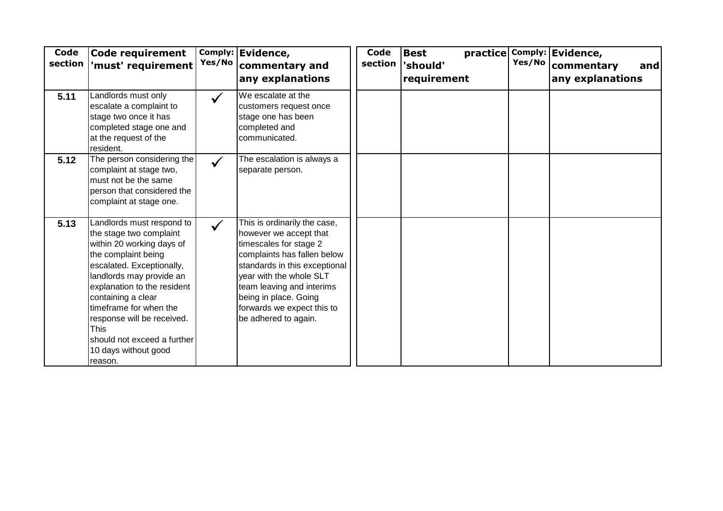| Code<br>section | Code requirement<br>'must' requirement                                                                                                                                                                                                                                                                                                                          | Yes/No       | Comply: Evidence,<br>commentary and<br>any explanations                                                                                                                                                                                                                                 | Code<br>section | <b>Best</b><br>'should'<br>requirement | Yes/No | practice Comply: Evidence,<br>commentary<br>and<br>any explanations |
|-----------------|-----------------------------------------------------------------------------------------------------------------------------------------------------------------------------------------------------------------------------------------------------------------------------------------------------------------------------------------------------------------|--------------|-----------------------------------------------------------------------------------------------------------------------------------------------------------------------------------------------------------------------------------------------------------------------------------------|-----------------|----------------------------------------|--------|---------------------------------------------------------------------|
| 5.11            | Landlords must only<br>escalate a complaint to<br>stage two once it has<br>completed stage one and<br>at the request of the<br>resident.                                                                                                                                                                                                                        |              | We escalate at the<br>customers request once<br>stage one has been<br>completed and<br>communicated.                                                                                                                                                                                    |                 |                                        |        |                                                                     |
| 5.12            | The person considering the<br>complaint at stage two,<br>must not be the same<br>person that considered the<br>complaint at stage one.                                                                                                                                                                                                                          |              | The escalation is always a<br>separate person.                                                                                                                                                                                                                                          |                 |                                        |        |                                                                     |
| 5.13            | Landlords must respond to<br>the stage two complaint<br>within 20 working days of<br>the complaint being<br>escalated. Exceptionally,<br>landlords may provide an<br>explanation to the resident<br>containing a clear<br>timeframe for when the<br>response will be received.<br><b>This</b><br>should not exceed a further<br>10 days without good<br>reason. | $\checkmark$ | This is ordinarily the case,<br>however we accept that<br>timescales for stage 2<br>complaints has fallen below<br>standards in this exceptional<br>vear with the whole SLT<br>team leaving and interims<br>being in place. Going<br>forwards we expect this to<br>be adhered to again. |                 |                                        |        |                                                                     |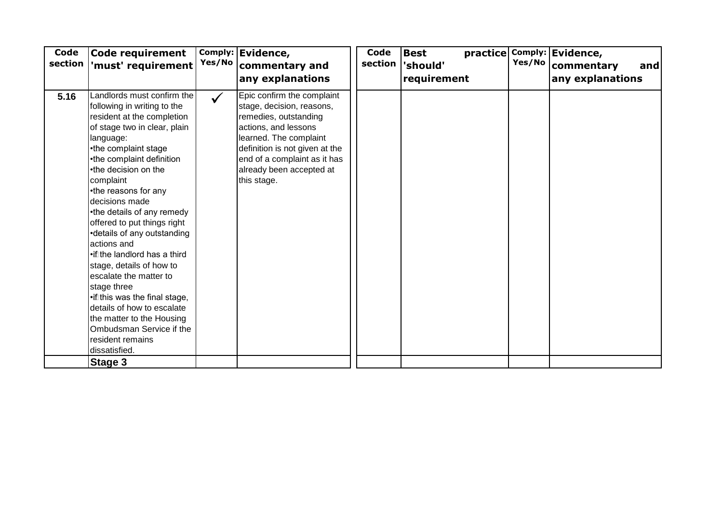| Code<br>section | Code requirement<br>'must' requirement                                                                                                                                                                                                                                                                                                                                                                                                                                                                                                                                                                                                                | Yes/No       | Comply: Evidence,<br>commentary and<br>any explanations                                                                                                                                                                                         | <b>Code</b><br>section | <b>Best</b><br>'should'<br>requirement | Yes/No | practice Comply: Evidence,<br>commentary<br>and<br>any explanations |
|-----------------|-------------------------------------------------------------------------------------------------------------------------------------------------------------------------------------------------------------------------------------------------------------------------------------------------------------------------------------------------------------------------------------------------------------------------------------------------------------------------------------------------------------------------------------------------------------------------------------------------------------------------------------------------------|--------------|-------------------------------------------------------------------------------------------------------------------------------------------------------------------------------------------------------------------------------------------------|------------------------|----------------------------------------|--------|---------------------------------------------------------------------|
| 5.16            | Landlords must confirm the<br>following in writing to the<br>resident at the completion<br>of stage two in clear, plain<br>language:<br>•the complaint stage<br>•the complaint definition<br>•the decision on the<br>complaint<br>•the reasons for any<br>decisions made<br>•the details of any remedy<br>offered to put things right<br>•details of any outstanding<br>actions and<br>•if the landlord has a third<br>stage, details of how to<br>escalate the matter to<br>stage three<br>•if this was the final stage,<br>details of how to escalate<br>the matter to the Housing<br>Ombudsman Service if the<br>resident remains<br>dissatisfied. | $\checkmark$ | Epic confirm the complaint<br>stage, decision, reasons,<br>remedies, outstanding<br>actions, and lessons<br>learned. The complaint<br>definition is not given at the<br>end of a complaint as it has<br>already been accepted at<br>this stage. |                        |                                        |        |                                                                     |
|                 | Stage 3                                                                                                                                                                                                                                                                                                                                                                                                                                                                                                                                                                                                                                               |              |                                                                                                                                                                                                                                                 |                        |                                        |        |                                                                     |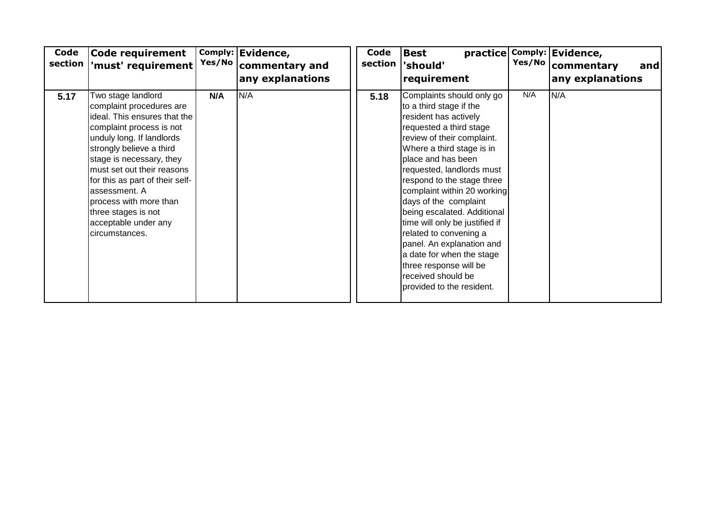| Code<br>section | <b>Code requirement</b><br>'must' requirement                                                                                                                                                                                                                                                                                                                                | Yes/No | Comply: Evidence,<br>commentary and<br>any explanations | Code<br>section | <b>Best</b><br>'should'<br>requirement                                                                                                                                                                                                                                                                                                                                                                                                                                                                                                         | Yes/No | practice Comply: Evidence,<br>commentary<br>and<br>any explanations |
|-----------------|------------------------------------------------------------------------------------------------------------------------------------------------------------------------------------------------------------------------------------------------------------------------------------------------------------------------------------------------------------------------------|--------|---------------------------------------------------------|-----------------|------------------------------------------------------------------------------------------------------------------------------------------------------------------------------------------------------------------------------------------------------------------------------------------------------------------------------------------------------------------------------------------------------------------------------------------------------------------------------------------------------------------------------------------------|--------|---------------------------------------------------------------------|
| 5.17            | Two stage landlord<br>complaint procedures are<br>ideal. This ensures that the<br>complaint process is not<br>unduly long. If landlords<br>strongly believe a third<br>stage is necessary, they<br>must set out their reasons<br>for this as part of their self-<br>assessment. A<br>process with more than<br>three stages is not<br>acceptable under any<br>circumstances. | N/A    | N/A                                                     | 5.18            | Complaints should only go<br>to a third stage if the<br>resident has actively<br>requested a third stage<br>review of their complaint.<br>Where a third stage is in<br>place and has been<br>requested, landlords must<br>respond to the stage three<br>complaint within 20 working<br>days of the complaint<br>being escalated. Additional<br>time will only be justified if<br>related to convening a<br>panel. An explanation and<br>a date for when the stage<br>three response will be<br>received should be<br>provided to the resident. | N/A    | N/A                                                                 |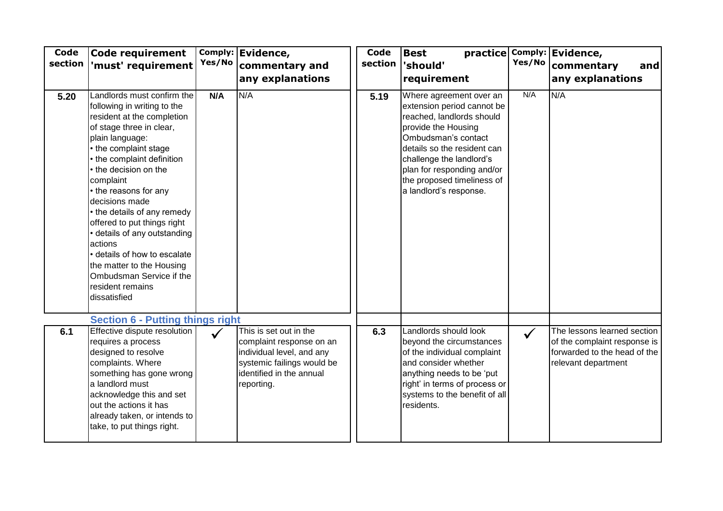| Code<br>section | Code requirement<br>'must' requirement                                                                                                                                                                                                                                                                                                                                                                                                                                                                             | Yes/No       | Comply: Evidence,<br>commentary and<br>any explanations                                                                                                 | Code<br>section | <b>Best</b><br>'should'<br>requirement                                                                                                                                                                                                                                            | Yes/No       | practice Comply: Evidence,<br>commentary<br>and<br>any explanations                                                |
|-----------------|--------------------------------------------------------------------------------------------------------------------------------------------------------------------------------------------------------------------------------------------------------------------------------------------------------------------------------------------------------------------------------------------------------------------------------------------------------------------------------------------------------------------|--------------|---------------------------------------------------------------------------------------------------------------------------------------------------------|-----------------|-----------------------------------------------------------------------------------------------------------------------------------------------------------------------------------------------------------------------------------------------------------------------------------|--------------|--------------------------------------------------------------------------------------------------------------------|
| 5.20            | Landlords must confirm the<br>following in writing to the<br>resident at the completion<br>of stage three in clear,<br>plain language:<br>• the complaint stage<br>the complaint definition<br>• the decision on the<br>complaint<br>• the reasons for any<br>decisions made<br>• the details of any remedy<br>offered to put things right<br>· details of any outstanding<br>actions<br>· details of how to escalate<br>the matter to the Housing<br>Ombudsman Service if the<br>resident remains<br>dissatisfied | N/A          | N/A                                                                                                                                                     | 5.19            | Where agreement over an<br>extension period cannot be<br>reached, landlords should<br>provide the Housing<br>Ombudsman's contact<br>details so the resident can<br>challenge the landlord's<br>plan for responding and/or<br>the proposed timeliness of<br>a landlord's response. | N/A          | N/A                                                                                                                |
|                 | <b>Section 6 - Putting things right</b>                                                                                                                                                                                                                                                                                                                                                                                                                                                                            |              |                                                                                                                                                         |                 |                                                                                                                                                                                                                                                                                   |              |                                                                                                                    |
| 6.1             | Effective dispute resolution<br>requires a process<br>designed to resolve<br>complaints. Where<br>something has gone wrong<br>a landlord must<br>acknowledge this and set<br>out the actions it has<br>already taken, or intends to<br>take, to put things right.                                                                                                                                                                                                                                                  | $\checkmark$ | This is set out in the<br>complaint response on an<br>individual level, and any<br>systemic failings would be<br>identified in the annual<br>reporting. | 6.3             | Landlords should look<br>beyond the circumstances<br>of the individual complaint<br>and consider whether<br>anything needs to be 'put<br>right' in terms of process or<br>systems to the benefit of all<br>residents.                                                             | $\checkmark$ | The lessons learned section<br>of the complaint response is<br>forwarded to the head of the<br>relevant department |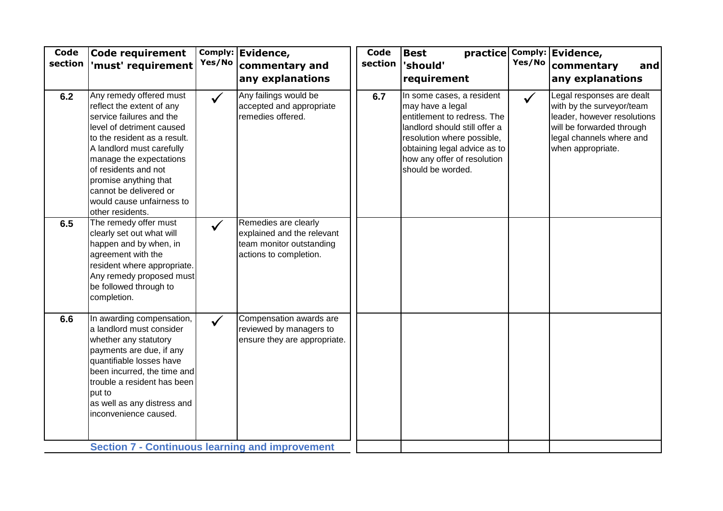| Any remedy offered must<br>Any failings would be<br>In some cases, a resident<br>Legal responses are dealt<br>6.2<br>6.7<br>$\checkmark$<br>$\checkmark$<br>accepted and appropriate<br>may have a legal<br>with by the surveyor/team<br>reflect the extent of any<br>remedies offered.<br>service failures and the<br>entitlement to redress. The<br>leader, however resolutions<br>level of detriment caused<br>landlord should still offer a<br>will be forwarded through<br>legal channels where and<br>to the resident as a result.<br>resolution where possible,<br>A landlord must carefully<br>obtaining legal advice as to<br>when appropriate.<br>how any offer of resolution<br>manage the expectations<br>should be worded.<br>of residents and not<br>promise anything that<br>cannot be delivered or<br>would cause unfairness to<br>other residents.<br>Remedies are clearly<br>The remedy offer must<br>6.5<br>$\checkmark$<br>explained and the relevant<br>clearly set out what will<br>happen and by when, in<br>team monitor outstanding<br>agreement with the<br>actions to completion.<br>resident where appropriate.<br>Any remedy proposed must<br>be followed through to<br>completion.<br>In awarding compensation,<br>Compensation awards are<br>6.6<br>$\checkmark$<br>a landlord must consider<br>reviewed by managers to<br>whether any statutory<br>ensure they are appropriate.<br>payments are due, if any<br>quantifiable losses have<br>been incurred, the time and<br>trouble a resident has been<br>put to | Code<br>section | <b>Code requirement</b><br>'must' requirement | Yes/No | Comply: Evidence,<br>commentary and<br>any explanations | Code<br>section | <b>Best</b><br>'should'<br>requirement | Yes/No | practice Comply: Evidence,<br>commentary<br>and<br>any explanations |
|-------------------------------------------------------------------------------------------------------------------------------------------------------------------------------------------------------------------------------------------------------------------------------------------------------------------------------------------------------------------------------------------------------------------------------------------------------------------------------------------------------------------------------------------------------------------------------------------------------------------------------------------------------------------------------------------------------------------------------------------------------------------------------------------------------------------------------------------------------------------------------------------------------------------------------------------------------------------------------------------------------------------------------------------------------------------------------------------------------------------------------------------------------------------------------------------------------------------------------------------------------------------------------------------------------------------------------------------------------------------------------------------------------------------------------------------------------------------------------------------------------------------------------------------------|-----------------|-----------------------------------------------|--------|---------------------------------------------------------|-----------------|----------------------------------------|--------|---------------------------------------------------------------------|
|                                                                                                                                                                                                                                                                                                                                                                                                                                                                                                                                                                                                                                                                                                                                                                                                                                                                                                                                                                                                                                                                                                                                                                                                                                                                                                                                                                                                                                                                                                                                                 |                 |                                               |        |                                                         |                 |                                        |        |                                                                     |
|                                                                                                                                                                                                                                                                                                                                                                                                                                                                                                                                                                                                                                                                                                                                                                                                                                                                                                                                                                                                                                                                                                                                                                                                                                                                                                                                                                                                                                                                                                                                                 |                 |                                               |        |                                                         |                 |                                        |        |                                                                     |
| inconvenience caused.                                                                                                                                                                                                                                                                                                                                                                                                                                                                                                                                                                                                                                                                                                                                                                                                                                                                                                                                                                                                                                                                                                                                                                                                                                                                                                                                                                                                                                                                                                                           |                 | as well as any distress and                   |        |                                                         |                 |                                        |        |                                                                     |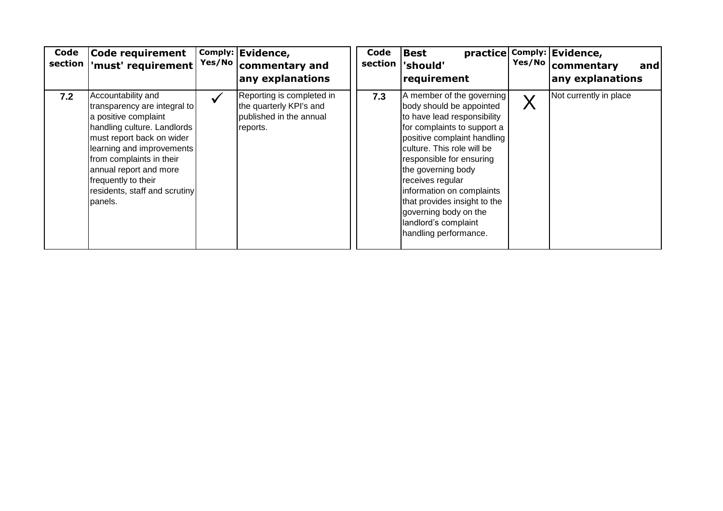| Code<br>section | <b>Code requirement</b><br>'must' requirement                                                                                                                                                                                                                                                |              | Comply: Evidence,<br>Yes/No   commentary and<br>any explanations                            | Code<br>section | <b>Best</b><br>practice<br>'should'<br>requirement                                                                                                                                                                                                                                                                                                                                            |         | Comply: Evidence,<br>Yes/No   commentary<br>and<br>any explanations |
|-----------------|----------------------------------------------------------------------------------------------------------------------------------------------------------------------------------------------------------------------------------------------------------------------------------------------|--------------|---------------------------------------------------------------------------------------------|-----------------|-----------------------------------------------------------------------------------------------------------------------------------------------------------------------------------------------------------------------------------------------------------------------------------------------------------------------------------------------------------------------------------------------|---------|---------------------------------------------------------------------|
| 7.2             | Accountability and<br>transparency are integral to<br>a positive complaint<br>handling culture. Landlords<br>must report back on wider<br>learning and improvements<br>from complaints in their<br>annual report and more<br>frequently to their<br>residents, staff and scrutiny<br>panels. | $\checkmark$ | Reporting is completed in<br>the quarterly KPI's and<br>published in the annual<br>reports. | 7.3             | A member of the governing<br>body should be appointed<br>to have lead responsibility<br>for complaints to support a<br>positive complaint handling<br>culture. This role will be<br>responsible for ensuring<br>the governing body<br>receives regular<br>information on complaints<br>that provides insight to the<br>governing body on the<br>landlord's complaint<br>handling performance. | $\sf X$ | Not currently in place                                              |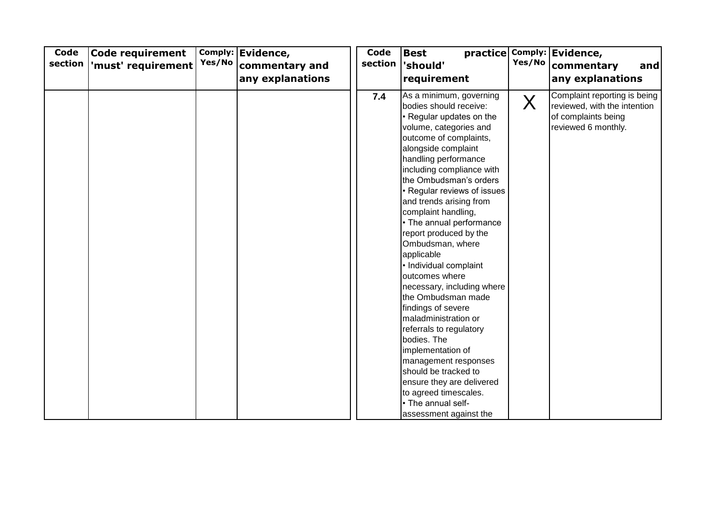| Code<br>section | <b>Code requirement</b><br>'must' requirement | Yes/No | Comply: Evidence,<br>commentary and<br>any explanations | Code<br>section | <b>Best</b><br>practice<br>'should'<br>requirement                                                                                                                                                                                                                                                                                                                                                                                                                                                                                                                                                                                                                                                                                                                                  | Yes/No  | Comply: Evidence,<br>commentary<br>and<br>any explanations                                                 |
|-----------------|-----------------------------------------------|--------|---------------------------------------------------------|-----------------|-------------------------------------------------------------------------------------------------------------------------------------------------------------------------------------------------------------------------------------------------------------------------------------------------------------------------------------------------------------------------------------------------------------------------------------------------------------------------------------------------------------------------------------------------------------------------------------------------------------------------------------------------------------------------------------------------------------------------------------------------------------------------------------|---------|------------------------------------------------------------------------------------------------------------|
|                 |                                               |        |                                                         | 7.4             | As a minimum, governing<br>bodies should receive:<br>• Regular updates on the<br>volume, categories and<br>outcome of complaints,<br>alongside complaint<br>handling performance<br>including compliance with<br>the Ombudsman's orders<br>• Regular reviews of issues<br>and trends arising from<br>complaint handling,<br>• The annual performance<br>report produced by the<br>Ombudsman, where<br>applicable<br>• Individual complaint<br>outcomes where<br>necessary, including where<br>the Ombudsman made<br>findings of severe<br>maladministration or<br>referrals to regulatory<br>bodies. The<br>implementation of<br>management responses<br>should be tracked to<br>ensure they are delivered<br>to agreed timescales.<br>• The annual self-<br>assessment against the | $\sf X$ | Complaint reporting is being<br>reviewed, with the intention<br>of complaints being<br>reviewed 6 monthly. |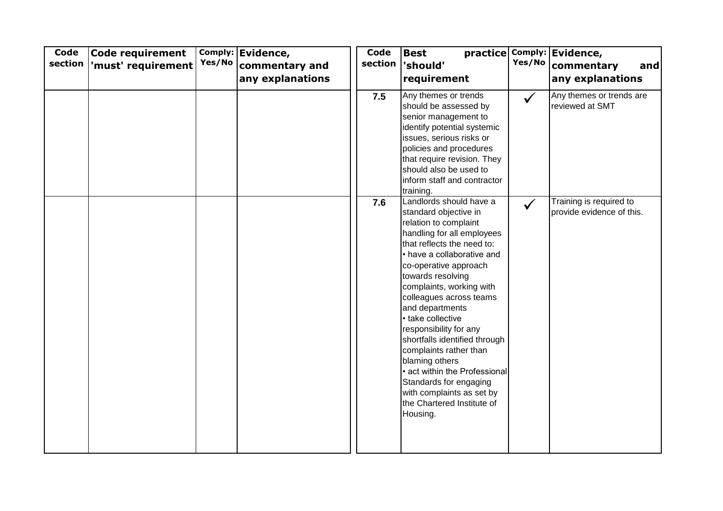| Code<br>section | Code requirement<br>'must' requirement | Yes/No | Comply: Evidence,<br>commentary and<br>any explanations | Code<br>section | <b>Best</b><br>'should'<br>requirement                                                                                                                                                                                                                                                                                                                                                                                                                                                                                                                    | Yes/No       | practice Comply: Evidence,<br>commentary<br>and<br>any explanations |
|-----------------|----------------------------------------|--------|---------------------------------------------------------|-----------------|-----------------------------------------------------------------------------------------------------------------------------------------------------------------------------------------------------------------------------------------------------------------------------------------------------------------------------------------------------------------------------------------------------------------------------------------------------------------------------------------------------------------------------------------------------------|--------------|---------------------------------------------------------------------|
|                 |                                        |        |                                                         | 7.5             | Any themes or trends<br>should be assessed by<br>senior management to<br>identify potential systemic<br>issues, serious risks or<br>policies and procedures<br>that require revision. They<br>should also be used to<br>inform staff and contractor<br>training.                                                                                                                                                                                                                                                                                          | $\checkmark$ | Any themes or trends are<br>reviewed at SMT                         |
|                 |                                        |        |                                                         | 7.6             | Landlords should have a<br>standard objective in<br>relation to complaint<br>handling for all employees<br>that reflects the need to:<br>• have a collaborative and<br>co-operative approach<br>towards resolving<br>complaints, working with<br>colleagues across teams<br>and departments<br>• take collective<br>responsibility for any<br>shortfalls identified through<br>complaints rather than<br>blaming others<br>• act within the Professional<br>Standards for engaging<br>with complaints as set by<br>the Chartered Institute of<br>Housing. | $\checkmark$ | Training is required to<br>provide evidence of this.                |